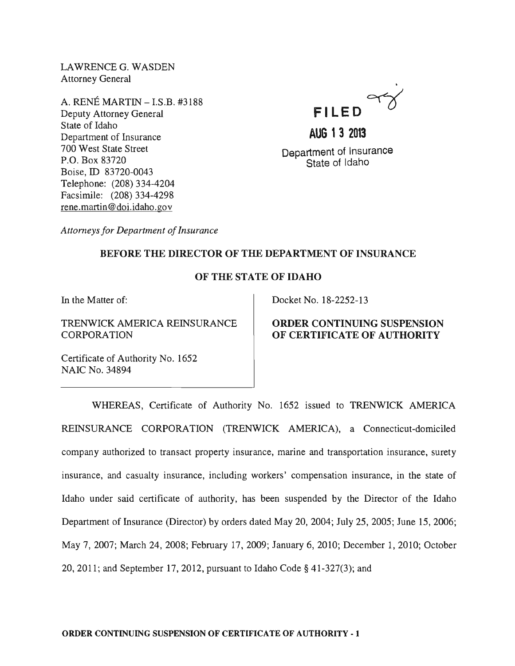LAWRENCEG. WASDEN Attorney General

A. RENE MARTIN - I.S.B. #3188 Deputy Attorney General State of Idaho Department of Insurance 700 West State Street P.O. Box 83720 Boise, ID 83720-0043 Telephone: (208) 334-4204 Facsimile: (208) 334-4298 rene.martin@doi.idaho.gov



**AUG 13 2013** 

Department of Insurance State of Idaho

*Attorneys for Department of Insurance* 

## BEFORE THE DIRECTOR OF THE DEPARTMENT OF INSURANCE

## OF THE STATE OF IDAHO

In the Matter of:

TRENWICK AMERICA REINSURANCE **CORPORATION** 

Docket No. 18-2252-13

### ORDER CONTINUING SUSPENSION OF CERTIFICATE OF AUTHORITY

Certificate of Authority No. 1652 NAIC No. 34894

WHEREAS, Certificate of Authority No. 1652 issued to TRENWICK AMERICA REINSURANCE CORPORATION (TRENWICK AMERICA), a Connecticut-domiciled company authorized to transact property insurance, marine and transportation insurance, surety insurance, and casualty insurance, including workers' compensation insurance, in the state of Idaho under said certificate of authority, has been suspended by the Director of the Idaho Department of Insurance (Director) by orders dated May 20,2004; July 25,2005; June 15,2006; May 7,2007; March 24,2008; February 17,2009; January 6,2010; December 1,2010; October 20,2011; and September 17,2012, pursuant to Idaho Code § 41-327(3); and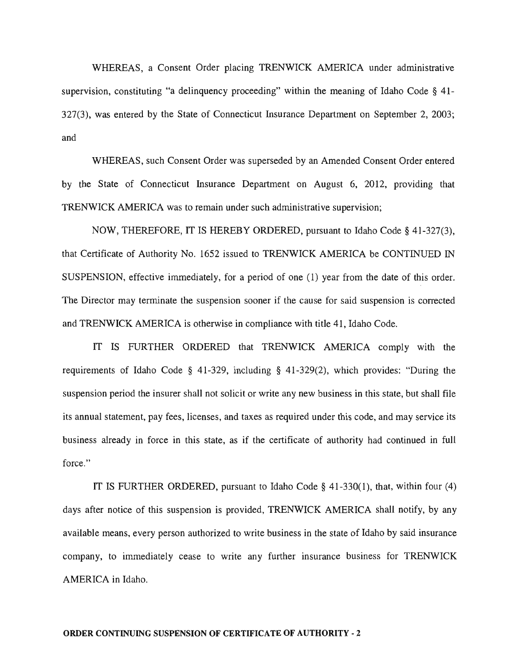WHEREAS, a Consent Order placing TRENWICK AMERICA under administrative supervision, constituting "a delinquency proceeding" within the meaning of Idaho Code  $\S$  41-327(3), was entered by the State of Connecticut Insurance Department on September 2, 2003; and

WHEREAS, such Consent Order was superseded by an Amended Consent Order entered by the State of Connecticut Insurance Department on August 6, 2012, providing that TRENWICK AMERICA was to remain under such administrative supervision;

NOW, THEREFORE, IT IS HEREBY ORDERED, pursuant to Idaho Code § 41-327(3), that Certificate of Authority No. 1652 issued to TRENWICK AMERICA be CONTINUED IN SUSPENSION, effective immediately, for a period of one (1) year from the date of this order. The Director may terminate the suspension sooner if the cause for said suspension is corrected and TRENWICK AMERICA is otherwise in compliance with title 41, Idaho Code.

IT IS FURTHER ORDERED that TRENWICK AMERICA comply with the requirements of Idaho Code § 41-329, including § 41-329(2), which provides: "During the suspension period the insurer shall not solicit or write any new business in this state, but shall file its annual statement, pay fees, licenses, and taxes as required under this code, and may service its business already in force in this state, as if the certificate of authority had continued in full force."

IT IS FURTHER ORDERED, pursuant to Idaho Code § 41-330(1), that, within four (4) days after notice of this suspension is provided, TRENWICK AMERICA shall notify, by any available means, every person authorized to write business in the state of Idaho by said insurance company, to immediately cease to write any further insurance business for TRENWICK AMERICA in Idaho.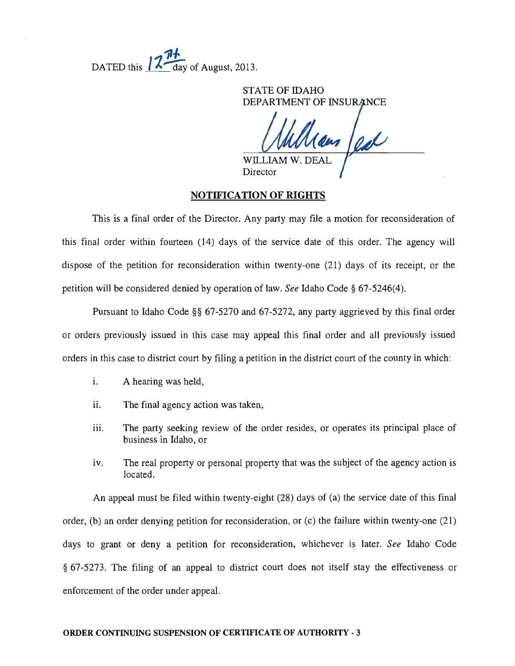**11-#.**  DATED this  $\sqrt{7}$  day of August, 2013.

> STATE OF IDAHO DEPARTMENT OF INSURANCE

WILLIA

Director

### NOTIFICATION OF RIGHTS

This is a final order of the Director. Any party may file a motion for reconsideration of this final order within fourteen (14) days of the service date of this order. The agency will dispose of the petition for reconsideration within twenty-one (21) days of its receipt, or the petition will be considered denied by operation of law. *See* Idaho Code § 67-5246(4).

Pursuant to Idaho Code §§ 67-5270 and 67-5272, any party aggrieved by this final order or orders previously issued in this case may appeal this final order and all previously issued orders in this case to district court by filing a petition in the district court of the county in which:

- i. A hearing was held,
- ii. The final agency action was taken,
- iii. The party seeking review of the order resides, or operates its principal place of business in Idaho, or
- iv. The real property or personal property that was the subject of the agency action is located.

An appeal must be filed within twenty-eight (28) days of (a) the service date of this final order, (b) an order denying petition for reconsideration, or (c) the failure within twenty-one (21) days to grant or deny a petition for reconsideration, whichever is later. *See* Idaho Code § 67-5273. The filing of an appeal to district court does not itself stay the effectiveness or enforcement of the order under appeal.

#### ORDER CONTINUING SUSPENSION OF CERTIFICATE OF AUTHORITY - 3